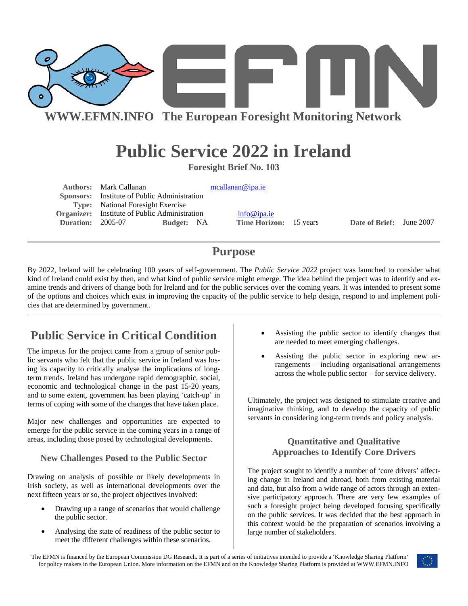

**WWW.EFMN.INFO The European Foresight Monitoring Network**

# **Public Service 2022 in Ireland**

**Foresight Brief No. 103** 

Authors: Mark Callanan mcallanan @ipa.ie  **Sponsors:** Institute of Public Administration **Type:** National Foresight Exercise **Organizer:** Institute of Public Administration [info@ipa.ie](mailto:info@ipa.ie) **Duration:** 2005-07 **Budget:** NA **Time Horizon:** 15 years **Date of Brief:** June 2007

## **Purpose**

By 2022, Ireland will be celebrating 100 years of self-government. The *Public Service 2022* project was launched to consider what kind of Ireland could exist by then, and what kind of public service might emerge. The idea behind the project was to identify and examine trends and drivers of change both for Ireland and for the public services over the coming years. It was intended to present some of the options and choices which exist in improving the capacity of the public service to help design, respond to and implement policies that are determined by government.

## **Public Service in Critical Condition**

The impetus for the project came from a group of senior public servants who felt that the public service in Ireland was losing its capacity to critically analyse the implications of longterm trends. Ireland has undergone rapid demographic, social, economic and technological change in the past 15-20 years, and to some extent, government has been playing 'catch-up' in terms of coping with some of the changes that have taken place.

Major new challenges and opportunities are expected to emerge for the public service in the coming years in a range of areas, including those posed by technological developments.

### **New Challenges Posed to the Public Sector**

Drawing on analysis of possible or likely developments in Irish society, as well as international developments over the next fifteen years or so, the project objectives involved:

- Drawing up a range of scenarios that would challenge the public sector.
- Analysing the state of readiness of the public sector to meet the different challenges within these scenarios.
- Assisting the public sector to identify changes that are needed to meet emerging challenges.
- Assisting the public sector in exploring new arrangements – including organisational arrangements across the whole public sector – for service delivery.

Ultimately, the project was designed to stimulate creative and imaginative thinking, and to develop the capacity of public servants in considering long-term trends and policy analysis.

## **Quantitative and Qualitative Approaches to Identify Core Drivers**

The project sought to identify a number of 'core drivers' affecting change in Ireland and abroad, both from existing material and data, but also from a wide range of actors through an extensive participatory approach. There are very few examples of such a foresight project being developed focusing specifically on the public services. It was decided that the best approach in this context would be the preparation of scenarios involving a large number of stakeholders.

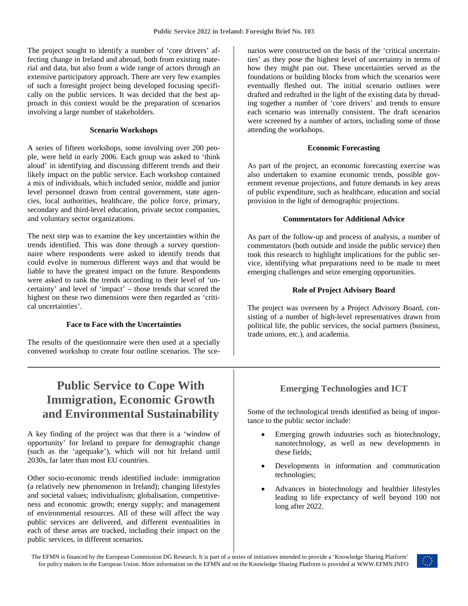The project sought to identify a number of 'core drivers' affecting change in Ireland and abroad, both from existing material and data, but also from a wide range of actors through an extensive participatory approach. There are very few examples of such a foresight project being developed focusing specifically on the public services. It was decided that the best approach in this context would be the preparation of scenarios involving a large number of stakeholders.

#### **Scenario Workshops**

A series of fifteen workshops, some involving over 200 people, were held in early 2006. Each group was asked to 'think aloud' in identifying and discussing different trends and their likely impact on the public service. Each workshop contained a mix of individuals, which included senior, middle and junior level personnel drawn from central government, state agencies, local authorities, healthcare, the police force, primary, secondary and third-level education, private sector companies, and voluntary sector organizations.

The next step was to examine the key uncertainties within the trends identified. This was done through a survey questionnaire where respondents were asked to identify trends that could evolve in numerous different ways and that would be liable to have the greatest impact on the future. Respondents were asked to rank the trends according to their level of 'uncertainty' and level of 'impact' – those trends that scored the highest on these two dimensions were then regarded as 'critical uncertainties'.

#### **Face to Face with the Uncertainties**

The results of the questionnaire were then used at a specially convened workshop to create four outline scenarios. The scenarios were constructed on the basis of the 'critical uncertainties' as they pose the highest level of uncertainty in terms of how they might pan out. These uncertainties served as the foundations or building blocks from which the scenarios were eventually fleshed out. The initial scenario outlines were drafted and redrafted in the light of the existing data by threading together a number of 'core drivers' and trends to ensure each scenario was internally consistent. The draft scenarios were screened by a number of actors, including some of those attending the workshops.

#### **Economic Forecasting**

As part of the project, an economic forecasting exercise was also undertaken to examine economic trends, possible government revenue projections, and future demands in key areas of public expenditure, such as healthcare, education and social provision in the light of demographic projections.

#### **Commentators for Additional Advice**

As part of the follow-up and process of analysis, a number of commentators (both outside and inside the public service) then took this research to highlight implications for the public service, identifying what preparations need to be made to meet emerging challenges and seize emerging opportunities.

#### **Role of Project Advisory Board**

The project was overseen by a Project Advisory Board, consisting of a number of high-level representatives drawn from political life, the public services, the social partners (business, trade unions, etc.), and academia.

## **Public Service to Cope With Immigration, Economic Growth and Environmental Sustainability**

A key finding of the project was that there is a 'window of opportunity' for Ireland to prepare for demographic change (such as the 'agequake'), which will not hit Ireland until 2030s, far later than most EU countries.

Other socio-economic trends identified include: immigration (a relatively new phenomenon in Ireland); changing lifestyles and societal values; individualism; globalisation, competitiveness and economic growth; energy supply; and management of environmental resources. All of these will affect the way public services are delivered, and different eventualities in each of these areas are tracked, including their impact on the public services, in different scenarios.

### **Emerging Technologies and ICT**

Some of the technological trends identified as being of importance to the public sector include:

- Emerging growth industries such as biotechnology, nanotechnology, as well as new developments in these fields;
- Developments in information and communication technologies;
- Advances in biotechnology and healthier lifestyles leading to life expectancy of well beyond 100 not long after 2022.

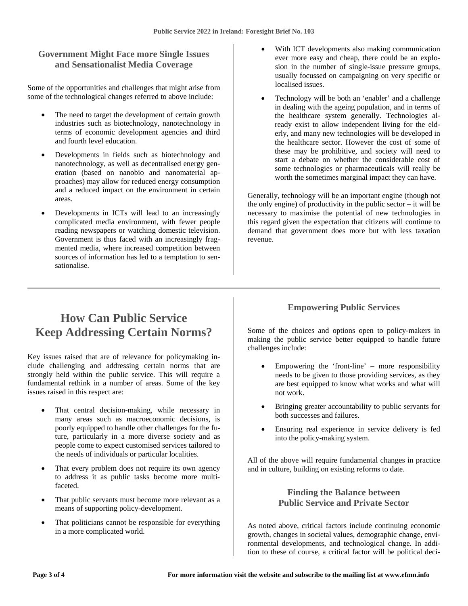## **Government Might Face more Single Issues and Sensationalist Media Coverage**

Some of the opportunities and challenges that might arise from some of the technological changes referred to above include:

- The need to target the development of certain growth industries such as biotechnology, nanotechnology in terms of economic development agencies and third and fourth level education.
- Developments in fields such as biotechnology and nanotechnology, as well as decentralised energy generation (based on nanobio and nanomaterial approaches) may allow for reduced energy consumption and a reduced impact on the environment in certain areas.
- Developments in ICTs will lead to an increasingly complicated media environment, with fewer people reading newspapers or watching domestic television. Government is thus faced with an increasingly fragmented media, where increased competition between sources of information has led to a temptation to sensationalise.
- With ICT developments also making communication ever more easy and cheap, there could be an explosion in the number of single-issue pressure groups, usually focussed on campaigning on very specific or localised issues.
- Technology will be both an 'enabler' and a challenge in dealing with the ageing population, and in terms of the healthcare system generally. Technologies already exist to allow independent living for the elderly, and many new technologies will be developed in the healthcare sector. However the cost of some of these may be prohibitive, and society will need to start a debate on whether the considerable cost of some technologies or pharmaceuticals will really be worth the sometimes marginal impact they can have.

Generally, technology will be an important engine (though not the only engine) of productivity in the public sector – it will be necessary to maximise the potential of new technologies in this regard given the expectation that citizens will continue to demand that government does more but with less taxation revenue.

## **How Can Public Service Keep Addressing Certain Norms?**

Key issues raised that are of relevance for policymaking include challenging and addressing certain norms that are strongly held within the public service. This will require a fundamental rethink in a number of areas. Some of the key issues raised in this respect are:

- That central decision-making, while necessary in many areas such as macroeconomic decisions, is poorly equipped to handle other challenges for the future, particularly in a more diverse society and as people come to expect customised services tailored to the needs of individuals or particular localities.
- That every problem does not require its own agency to address it as public tasks become more multifaceted.
- That public servants must become more relevant as a means of supporting policy-development.
- That politicians cannot be responsible for everything in a more complicated world.

## **Empowering Public Services**

Some of the choices and options open to policy-makers in making the public service better equipped to handle future challenges include:

- Empowering the 'front-line' more responsibility needs to be given to those providing services, as they are best equipped to know what works and what will not work.
- Bringing greater accountability to public servants for both successes and failures.
- Ensuring real experience in service delivery is fed into the policy-making system.

All of the above will require fundamental changes in practice and in culture, building on existing reforms to date.

### **Finding the Balance between Public Service and Private Sector**

As noted above, critical factors include continuing economic growth, changes in societal values, demographic change, environmental developments, and technological change. In addition to these of course, a critical factor will be political deci-